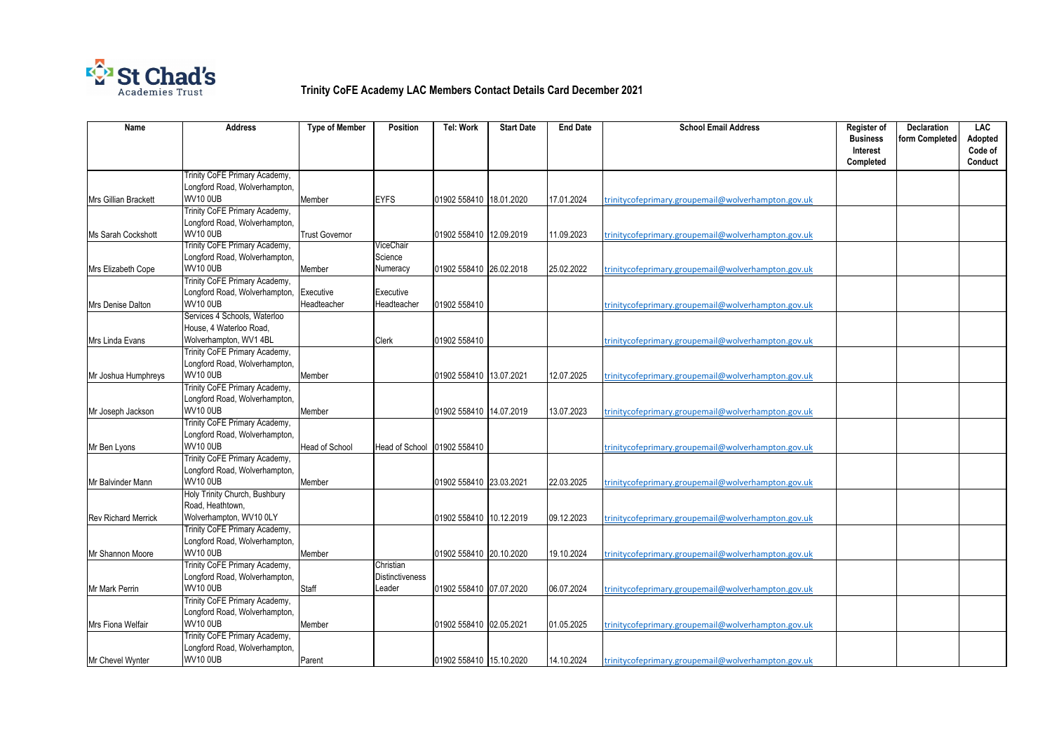

## **Trinity CoFE Academy LAC Members Contact Details Card December 2021**

| <b>Name</b>                | <b>Address</b>                                          | <b>Type of Member</b> | <b>Position</b>                     | <b>Tel: Work</b>        | <b>Start Date</b> | <b>End Date</b> | <b>School Email Address</b>                        | <b>Register of</b><br><b>Business</b><br>Interest | <b>Declaration</b><br>form Completed | <b>LAC</b><br>Adopted<br>Code of |
|----------------------------|---------------------------------------------------------|-----------------------|-------------------------------------|-------------------------|-------------------|-----------------|----------------------------------------------------|---------------------------------------------------|--------------------------------------|----------------------------------|
|                            |                                                         |                       |                                     |                         |                   |                 |                                                    | Completed                                         |                                      | Conduct                          |
|                            | Trinity CoFE Primary Academy,                           |                       |                                     |                         |                   |                 |                                                    |                                                   |                                      |                                  |
|                            | Longford Road, Wolverhampton,                           |                       |                                     |                         |                   |                 |                                                    |                                                   |                                      |                                  |
| Mrs Gillian Brackett       | <b>WV10 0UB</b><br>Trinity CoFE Primary Academy,        | Member                | <b>EYFS</b>                         | 01902 558410 18.01.2020 |                   | 17.01.2024      | trinitycofeprimary.groupemail@wolverhampton.gov.uk |                                                   |                                      |                                  |
|                            | Longford Road, Wolverhampton,                           |                       |                                     |                         |                   |                 |                                                    |                                                   |                                      |                                  |
| Ms Sarah Cockshott         | <b>WV10 0UB</b>                                         | <b>Trust Governor</b> |                                     | 01902 558410 12.09.2019 |                   | 11.09.2023      | trinitycofeprimary.groupemail@wolverhampton.gov.uk |                                                   |                                      |                                  |
|                            | Trinity CoFE Primary Academy,                           |                       | ViceChair                           |                         |                   |                 |                                                    |                                                   |                                      |                                  |
|                            | Longford Road, Wolverhampton,                           |                       | Science                             |                         |                   |                 |                                                    |                                                   |                                      |                                  |
| Mrs Elizabeth Cope         | <b>WV10 0UB</b>                                         | Member                | Numeracy                            | 01902 558410 26.02.2018 |                   | 25.02.2022      | trinitycofeprimary.groupemail@wolverhampton.gov.uk |                                                   |                                      |                                  |
|                            | Trinity CoFE Primary Academy,                           |                       |                                     |                         |                   |                 |                                                    |                                                   |                                      |                                  |
|                            | Longford Road, Wolverhampton,                           | Executive             | Executive                           |                         |                   |                 |                                                    |                                                   |                                      |                                  |
| Mrs Denise Dalton          | <b>WV10 0UB</b>                                         | Headteacher           | Headteacher                         | 01902 558410            |                   |                 | trinitycofeprimary.groupemail@wolverhampton.gov.uk |                                                   |                                      |                                  |
|                            | Services 4 Schools, Waterloo<br>House, 4 Waterloo Road, |                       |                                     |                         |                   |                 |                                                    |                                                   |                                      |                                  |
| Mrs Linda Evans            | Wolverhampton, WV1 4BL                                  |                       | Clerk                               | 01902 558410            |                   |                 | trinitycofeprimary.groupemail@wolverhampton.gov.uk |                                                   |                                      |                                  |
|                            | Trinity CoFE Primary Academy,                           |                       |                                     |                         |                   |                 |                                                    |                                                   |                                      |                                  |
|                            | Longford Road, Wolverhampton,                           |                       |                                     |                         |                   |                 |                                                    |                                                   |                                      |                                  |
| Mr Joshua Humphreys        | <b>WV10 0UB</b>                                         | Member                |                                     | 01902 558410 13.07.2021 |                   | 12.07.2025      | trinitycofeprimary.groupemail@wolverhampton.gov.uk |                                                   |                                      |                                  |
|                            | Trinity CoFE Primary Academy,                           |                       |                                     |                         |                   |                 |                                                    |                                                   |                                      |                                  |
|                            | Longford Road, Wolverhampton,                           |                       |                                     |                         |                   |                 |                                                    |                                                   |                                      |                                  |
| Mr Joseph Jackson          | <b>WV10 0UB</b>                                         | Member                |                                     | 01902 558410 14.07.2019 |                   | 13.07.2023      | trinitycofeprimary.groupemail@wolverhampton.gov.uk |                                                   |                                      |                                  |
|                            | Trinity CoFE Primary Academy,                           |                       |                                     |                         |                   |                 |                                                    |                                                   |                                      |                                  |
|                            | Longford Road, Wolverhampton,<br><b>WV10 0UB</b>        |                       |                                     |                         |                   |                 |                                                    |                                                   |                                      |                                  |
| Mr Ben Lyons               | Trinity CoFE Primary Academy,                           | <b>Head of School</b> | Head of School 01902 558410         |                         |                   |                 | trinitycofeprimary.groupemail@wolverhampton.gov.uk |                                                   |                                      |                                  |
|                            | Longford Road, Wolverhampton,                           |                       |                                     |                         |                   |                 |                                                    |                                                   |                                      |                                  |
| Mr Balvinder Mann          | <b>WV10 0UB</b>                                         | Member                |                                     | 01902 558410 23.03.2021 |                   | 22.03.2025      | trinitycofeprimary.groupemail@wolverhampton.gov.uk |                                                   |                                      |                                  |
|                            | Holy Trinity Church, Bushbury                           |                       |                                     |                         |                   |                 |                                                    |                                                   |                                      |                                  |
|                            | Road, Heathtown,                                        |                       |                                     |                         |                   |                 |                                                    |                                                   |                                      |                                  |
| <b>Rev Richard Merrick</b> | Wolverhampton, WV10 0LY                                 |                       |                                     | 01902 558410 10.12.2019 |                   | 09.12.2023      | trinitycofeprimary.groupemail@wolverhampton.gov.uk |                                                   |                                      |                                  |
|                            | Trinity CoFE Primary Academy,                           |                       |                                     |                         |                   |                 |                                                    |                                                   |                                      |                                  |
|                            | Longford Road, Wolverhampton,                           |                       |                                     |                         |                   |                 |                                                    |                                                   |                                      |                                  |
| Mr Shannon Moore           | <b>WV10 0UB</b><br>Trinity CoFE Primary Academy,        | Member                |                                     | 01902 558410 20.10.2020 |                   | 19.10.2024      | trinitycofeprimary.groupemail@wolverhampton.gov.uk |                                                   |                                      |                                  |
|                            | Longford Road, Wolverhampton,                           |                       | Christian<br><b>Distinctiveness</b> |                         |                   |                 |                                                    |                                                   |                                      |                                  |
| Mr Mark Perrin             | <b>WV10 0UB</b>                                         | <b>Staff</b>          | Leader                              | 01902 558410 07.07.2020 |                   | 06.07.2024      | trinitycofeprimary.groupemail@wolverhampton.gov.uk |                                                   |                                      |                                  |
|                            | Trinity CoFE Primary Academy,                           |                       |                                     |                         |                   |                 |                                                    |                                                   |                                      |                                  |
|                            | Longford Road, Wolverhampton,                           |                       |                                     |                         |                   |                 |                                                    |                                                   |                                      |                                  |
| Mrs Fiona Welfair          | <b>WV10 0UB</b>                                         | Member                |                                     | 01902 558410 02.05.2021 |                   | 01.05.2025      | trinitycofeprimary.groupemail@wolverhampton.gov.uk |                                                   |                                      |                                  |
|                            | Trinity CoFE Primary Academy,                           |                       |                                     |                         |                   |                 |                                                    |                                                   |                                      |                                  |
|                            | Longford Road, Wolverhampton,                           |                       |                                     |                         |                   |                 |                                                    |                                                   |                                      |                                  |
| Mr Chevel Wynter           | <b>WV10 0UB</b>                                         | Parent                |                                     | 01902 558410 15.10.2020 |                   | 14.10.2024      | trinitycofeprimary.groupemail@wolverhampton.gov.uk |                                                   |                                      |                                  |